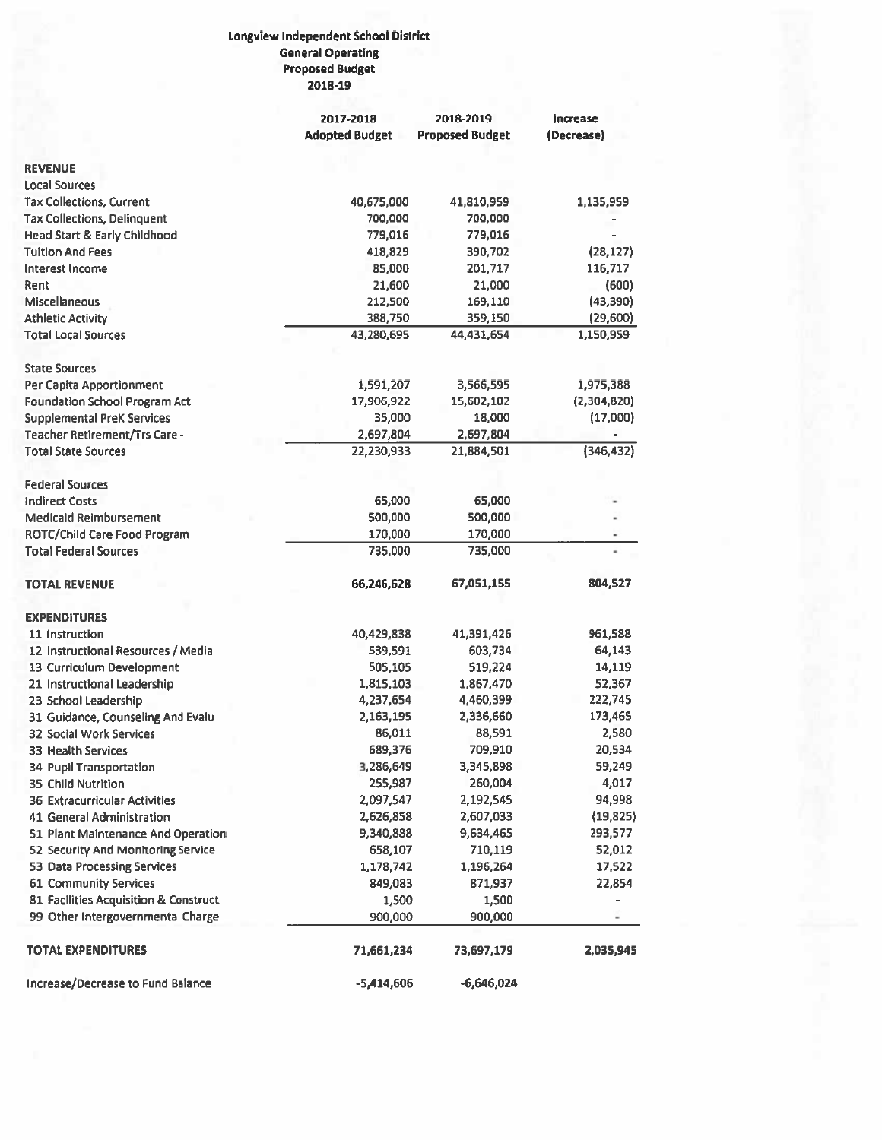## Longview Independent School District **General Operating Proposed Budget** 2018-19

|                                                         | 2017-2018             | 2018-2019              | Increase      |  |
|---------------------------------------------------------|-----------------------|------------------------|---------------|--|
|                                                         | <b>Adopted Budget</b> | <b>Proposed Budget</b> | (Decrease)    |  |
| <b>REVENUE</b>                                          |                       |                        |               |  |
| <b>Local Sources</b>                                    |                       |                        |               |  |
| <b>Tax Collections, Current</b>                         | 40,675,000            | 41,810,959             | 1,135,959     |  |
| <b>Tax Collections, Delinquent</b>                      | 700,000               | 700,000                |               |  |
|                                                         | 779,016               | 779,016                |               |  |
| Head Start & Early Childhood<br><b>Tuition And Fees</b> | 418,829               | 390,702                | (28, 127)     |  |
| <b>Interest Income</b>                                  | 85,000                | 201,717                | 116,717       |  |
| Rent                                                    | 21,600                | 21,000                 | (600)         |  |
| <b>Miscellaneous</b>                                    | 212,500               | 169,110                | (43, 390)     |  |
|                                                         |                       | 359,150                |               |  |
| <b>Athletic Activity</b><br><b>Total Local Sources</b>  | 388,750               |                        | (29, 600)     |  |
|                                                         | 43,280,695            | 44,431,654             | 1,150,959     |  |
| <b>State Sources</b>                                    |                       |                        |               |  |
| Per Capita Apportionment                                | 1,591,207             | 3,566,595              | 1,975,388     |  |
| <b>Foundation School Program Act</b>                    | 17,906,922            | 15,602,102             | (2,304,820)   |  |
| <b>Supplemental PreK Services</b>                       | 35,000                | 18,000                 | (17,000)      |  |
| <b>Teacher Retirement/Trs Care -</b>                    | 2,697,804             | 2,697,804              |               |  |
| <b>Total State Sources</b>                              | 22,230,933            | 21,884,501             | (346, 432)    |  |
| <b>Federal Sources</b>                                  |                       |                        |               |  |
| <b>Indirect Costs</b>                                   | 65,000                | 65,000                 |               |  |
| <b>Medicaid Reimbursement</b>                           | 500,000               | 500,000                |               |  |
| ROTC/Child Care Food Program                            | 170,000               | 170,000                |               |  |
| <b>Total Federal Sources</b>                            | 735,000               | 735,000                |               |  |
| <b>TOTAL REVENUE</b>                                    | 66,246,628            | 67,051,155             | 804,527       |  |
| <b>EXPENDITURES</b>                                     |                       |                        |               |  |
| 11 Instruction                                          | 40,429,838            | 41,391,426             | 961,588       |  |
| 12 Instructional Resources / Media                      | 539,591               | 603,734                | 64,143        |  |
| 13 Curriculum Development                               | 505,105               | 519,224                | 14,119        |  |
| 21 Instructional Leadership                             | 1,815,103             | 1,867,470              | 52,367        |  |
| 23 School Leadership                                    | 4,237,654             | 4,460,399              | 222,745       |  |
| 31 Guidance, Counseling And Evalu                       | 2,163,195             | 2,336,660              | 173,465       |  |
| 32 Social Work Services                                 | 86,011                | 88,591                 | 2,580         |  |
| 33 Health Services                                      | 689,376               | 709,910                | 20,534        |  |
| 34 Pupil Transportation                                 | 3,286,649             | 3,345,898              | 59,249        |  |
| 35 Child Nutrition                                      | 255,987               | 260,004                | 4,017         |  |
| <b>36 Extracurricular Activities</b>                    | 2,097,547             | 2,192,545              | 94,998        |  |
| 41 General Administration                               | 2,626,858             | 2,607,033              | (19, 825)     |  |
| 51 Plant Maintenance And Operation                      | 9,340,888             | 9,634,465              | 293,577       |  |
| 52 Security And Monitoring Service                      | 658,107               | 710,119                | 52,012        |  |
| 53 Data Processing Services                             | 1,178,742             | 1,196,264              | 17,522        |  |
| 61 Community Services                                   | 849,083               | 871,937                | 22,854        |  |
| 81 Facilities Acquisition & Construct                   | 1,500                 | 1,500                  |               |  |
| 99 Other Intergovernmental Charge                       | 900,000               | 900,000                | $\frac{1}{2}$ |  |
| <b>TOTAL EXPENDITURES</b>                               | 71,661,234            | 73,697,179             | 2,035,945     |  |
|                                                         |                       |                        |               |  |
| Increase/Decrease to Fund Balance                       | $-5,414,606$          | -6,646,024             |               |  |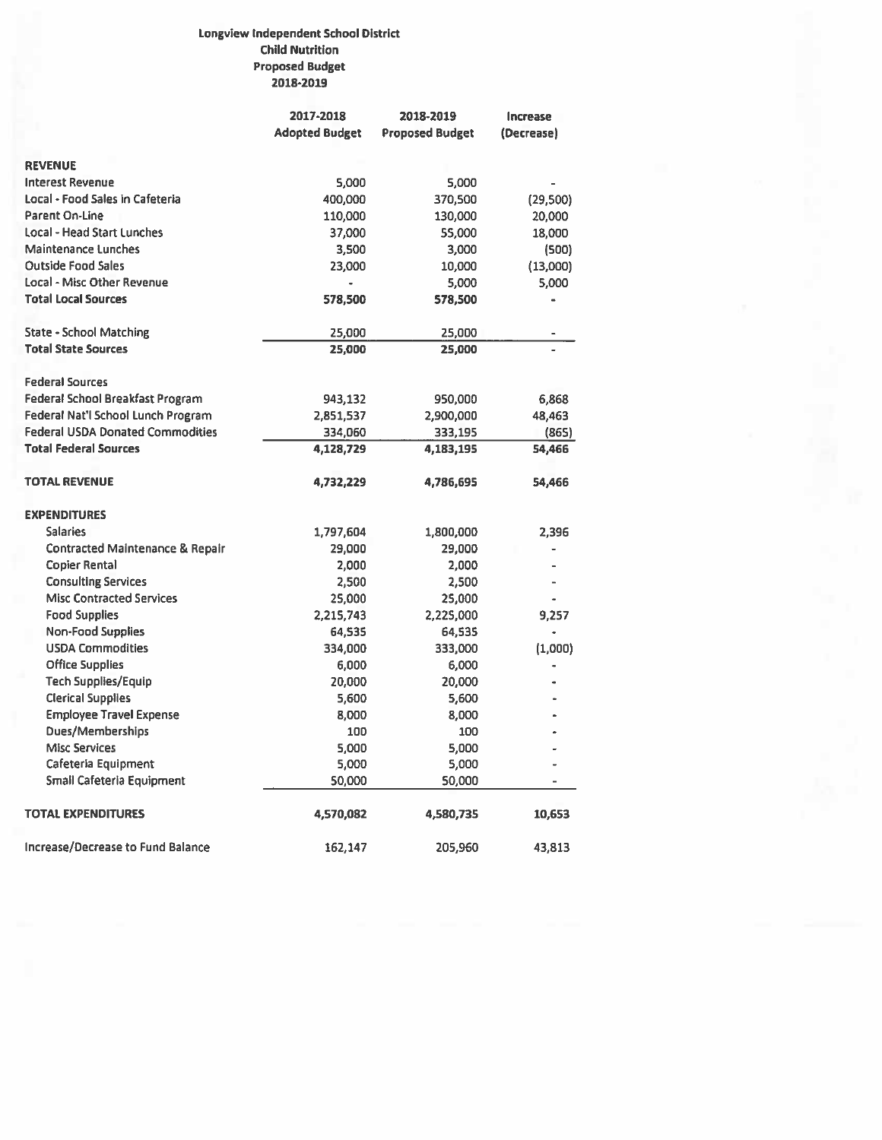## Longview Independent School District **Child Nutrition Proposed Budget** 2018-2019

|                                            | 2017-2018             | 2018-2019              | Increase   |
|--------------------------------------------|-----------------------|------------------------|------------|
|                                            | <b>Adopted Budget</b> | <b>Proposed Budget</b> | (Decrease) |
| <b>REVENUE</b>                             |                       |                        |            |
| <b>Interest Revenue</b>                    | 5,000                 | 5,000                  |            |
| Local - Food Sales in Cafeteria            | 400,000               | 370,500                | (29,500)   |
| <b>Parent On-Line</b>                      | 110,000               | 130,000                | 20,000     |
| <b>Local - Head Start Lunches</b>          | 37,000                | 55,000                 | 18,000     |
| <b>Maintenance Lunches</b>                 | 3,500                 | 3,000                  | (500)      |
| <b>Outside Food Sales</b>                  | 23,000                | 10,000                 | (13,000)   |
| Local - Misc Other Revenue                 |                       | 5,000                  | 5,000      |
| <b>Total Local Sources</b>                 | 578,500               | 578,500                |            |
|                                            |                       |                        |            |
| <b>State - School Matching</b>             | 25,000                | 25,000                 |            |
| <b>Total State Sources</b>                 | 25,000                | 25,000                 |            |
| <b>Federal Sources</b>                     |                       |                        |            |
| Federal School Breakfast Program           | 943,132               | 950,000                | 6,868      |
| Federal Nat'l School Lunch Program         | 2,851,537             | 2,900,000              | 48,463     |
| <b>Federal USDA Donated Commodities</b>    | 334,060               | 333,195                | (865)      |
| <b>Total Federal Sources</b>               | 4,128,729             | 4,183,195              | 54,466     |
| <b>TOTAL REVENUE</b>                       | 4,732,229             | 4,786,695              | 54,466     |
| <b>EXPENDITURES</b>                        |                       |                        |            |
| <b>Salaries</b>                            | 1,797,604             | 1,800,000              | 2.396      |
| <b>Contracted Maintenance &amp; Repair</b> | 29,000                | 29,000                 |            |
| <b>Copier Rental</b>                       | 2,000                 | 2,000                  |            |
| <b>Consulting Services</b>                 | 2,500                 | 2,500                  |            |
| <b>Misc Contracted Services</b>            | 25,000                | 25,000                 |            |
| <b>Food Supplies</b>                       | 2,215,743             | 2,225,000              | 9,257      |
| <b>Non-Food Supplies</b>                   | 64,535                | 64,535                 |            |
| <b>USDA Commodities</b>                    | 334,000               | 333,000                | (1,000)    |
| <b>Office Supplies</b>                     | 6,000                 | 6,000                  |            |
| <b>Tech Supplies/Equip</b>                 | 20,000                | 20,000                 |            |
| <b>Clerical Supplies</b>                   | 5,600                 | 5,600                  |            |
| <b>Employee Travel Expense</b>             | 8,000                 | 8,000                  |            |
| Dues/Memberships                           | 100                   | 100                    |            |
| <b>Misc Services</b>                       | 5,000                 | 5,000                  |            |
| Cafeteria Equipment                        | 5,000                 | 5,000                  |            |
| Small Cafeteria Equipment                  | 50,000                | 50,000                 |            |
| <b>TOTAL EXPENDITURES</b>                  | 4,570,082             | 4,580,735              | 10,653     |
| Increase/Decrease to Fund Balance          | 162,147               | 205,960                | 43,813     |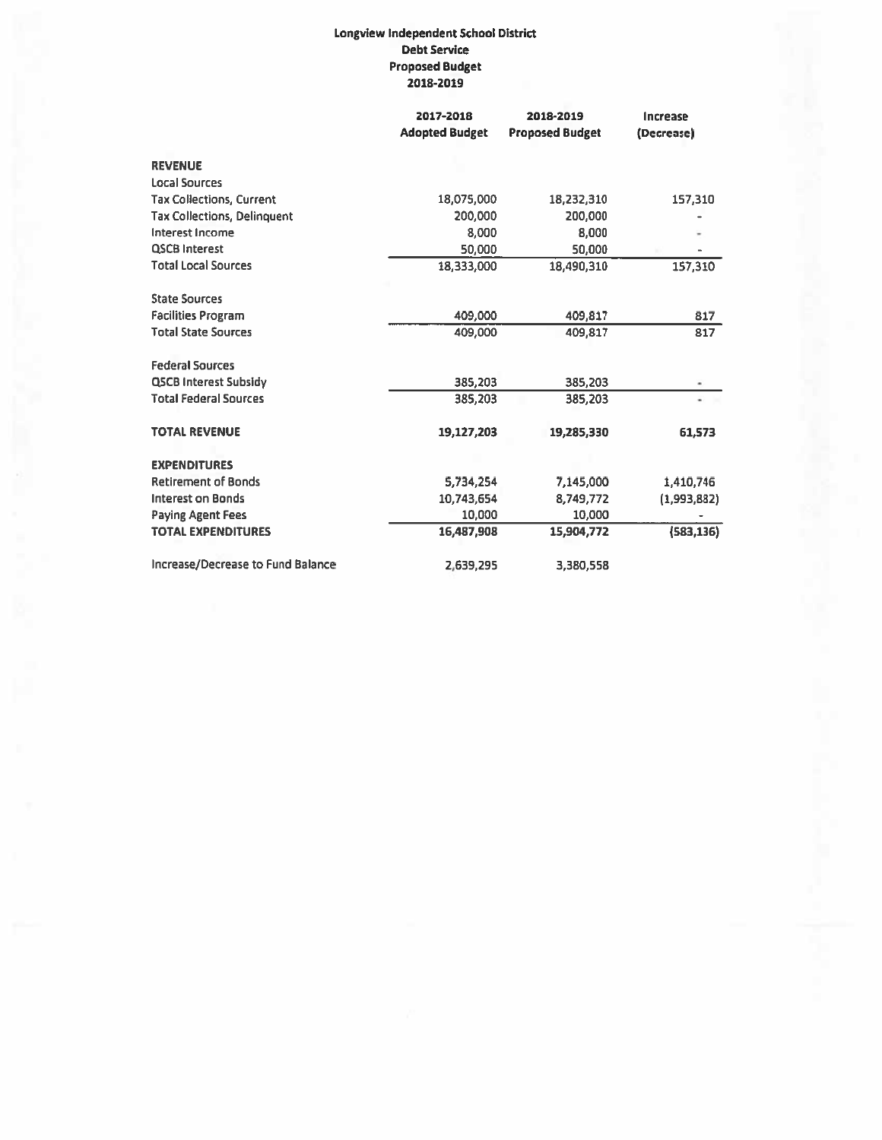## Longview Independent School District **Debt Service Proposed Budget** 2018-2019

|                                    | 2017-2018<br><b>Adopted Budget</b> | 2018-2019<br><b>Proposed Budget</b> | Increase<br>(Decrease) |
|------------------------------------|------------------------------------|-------------------------------------|------------------------|
| <b>REVENUE</b>                     |                                    |                                     |                        |
| <b>Local Sources</b>               |                                    |                                     |                        |
| <b>Tax Collections, Current</b>    | 18,075,000                         | 18,232,310                          | 157,310                |
| <b>Tax Collections, Delinquent</b> | 200,000                            | 200,000                             |                        |
| Interest Income                    | 8,000                              | 8,000                               |                        |
| <b>QSCB Interest</b>               | 50,000                             | 50,000                              |                        |
| <b>Total Local Sources</b>         | 18,333,000                         | 18,490,310                          | 157,310                |
| <b>State Sources</b>               |                                    |                                     |                        |
| <b>Facilities Program</b>          | 409,000                            | 409,817                             | 817                    |
| <b>Total State Sources</b>         | 409,000                            | 409,817                             | 817                    |
| <b>Federal Sources</b>             |                                    |                                     |                        |
| <b>QSCB Interest Subsidy</b>       | 385,203                            | 385,203                             |                        |
| <b>Total Federal Sources</b>       | 385,203                            | 385,203                             |                        |
| <b>TOTAL REVENUE</b>               | 19,127,203                         | 19,285,330                          | 61,573                 |
| <b>EXPENDITURES</b>                |                                    |                                     |                        |
| <b>Retirement of Bonds</b>         | 5,734,254                          | 7,145,000                           | 1,410,746              |
| <b>Interest on Bonds</b>           | 10,743,654                         | 8,749,772                           | (1,993,882)            |
| <b>Paying Agent Fees</b>           | 10,000                             | 10,000                              |                        |
| <b>TOTAL EXPENDITURES</b>          | 16,487,908                         | 15,904,772                          | (583, 136)             |
| Increase/Decrease to Fund Balance  | 2,639,295                          | 3,380,558                           |                        |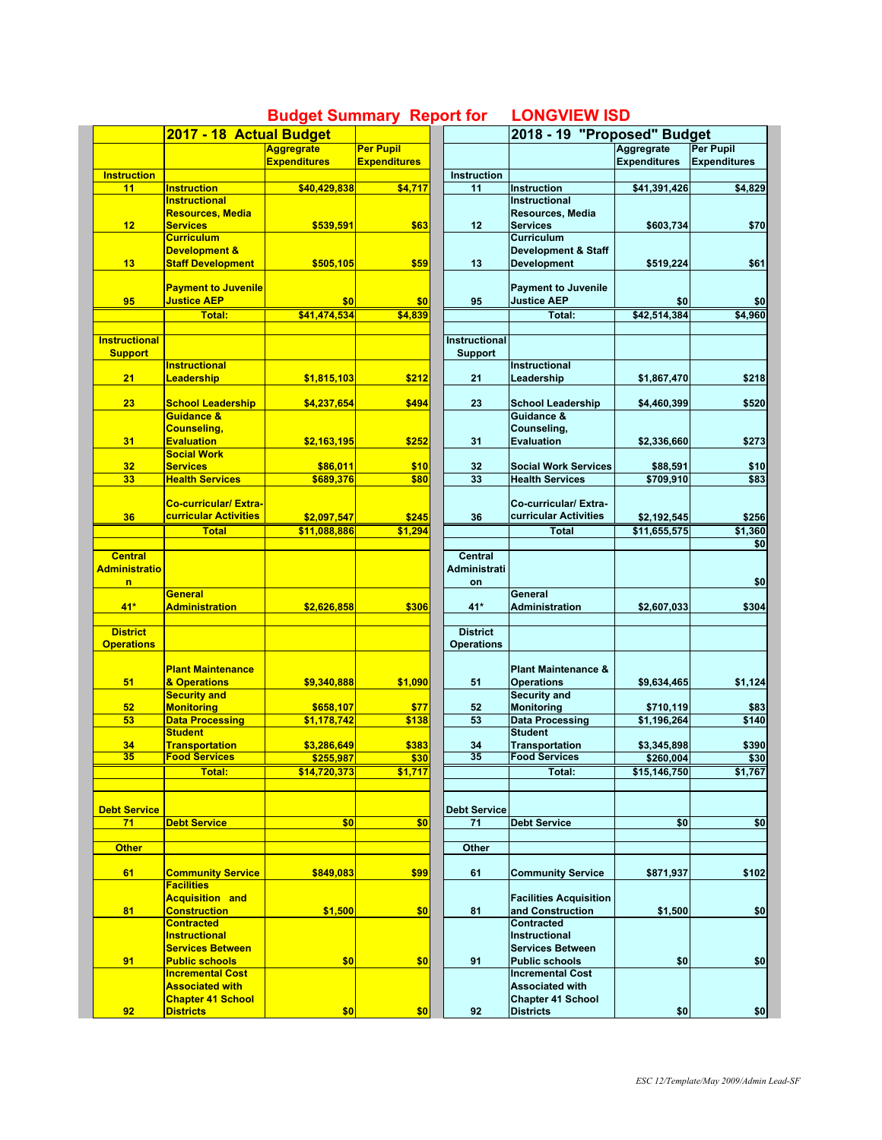|                      | 2017 - 18 Actual Budget                            |                     |                     |                     |                                                    |                                                                                                                                                                                                                                                                                                                           |                     |
|----------------------|----------------------------------------------------|---------------------|---------------------|---------------------|----------------------------------------------------|---------------------------------------------------------------------------------------------------------------------------------------------------------------------------------------------------------------------------------------------------------------------------------------------------------------------------|---------------------|
|                      |                                                    | <b>Aggregrate</b>   | <b>Per Pupil</b>    |                     |                                                    |                                                                                                                                                                                                                                                                                                                           | <b>Per Pupil</b>    |
|                      |                                                    | <b>Expenditures</b> | <b>Expenditures</b> |                     |                                                    |                                                                                                                                                                                                                                                                                                                           | <b>Expenditures</b> |
| <b>Instruction</b>   |                                                    |                     |                     | <b>Instruction</b>  |                                                    |                                                                                                                                                                                                                                                                                                                           |                     |
| 11                   | <b>Instruction</b>                                 | \$40,429,838        | \$4,717             | 11                  | <b>Instruction</b>                                 |                                                                                                                                                                                                                                                                                                                           | \$4,829             |
|                      | <b>Instructional</b>                               |                     |                     |                     | Instructional                                      |                                                                                                                                                                                                                                                                                                                           |                     |
|                      | <b>Resources, Media</b>                            |                     |                     |                     | Resources, Media                                   |                                                                                                                                                                                                                                                                                                                           |                     |
| 12                   | <b>Services</b>                                    | \$539,591           | \$63                | 12                  | <b>Services</b>                                    | \$603,734                                                                                                                                                                                                                                                                                                                 | \$70                |
|                      | <b>Curriculum</b>                                  |                     |                     |                     | <b>Curriculum</b>                                  |                                                                                                                                                                                                                                                                                                                           |                     |
|                      | <b>Development &amp;</b>                           |                     |                     |                     | <b>Development &amp; Staff</b>                     |                                                                                                                                                                                                                                                                                                                           |                     |
| 13                   | <b>Staff Development</b>                           | \$505,105           | \$59                | 13                  | <b>Development</b>                                 | \$519,224                                                                                                                                                                                                                                                                                                                 | \$61                |
|                      |                                                    |                     |                     |                     |                                                    | 2018 - 19 "Proposed" Budget<br>Aggregrate<br><b>Expenditures</b><br>\$41,391,426<br>\$0<br>\$42,514,384<br>\$1,867,470<br>\$4,460,399<br>\$2,336,660<br>\$88,591<br>\$709,910<br>\$2,192,545<br>\$11.655.575<br>\$2,607,033<br>\$9,634,465<br>\$710,119<br>\$1,196,264<br>\$3,345,898<br>\$260,004<br>\$15,146,750<br>\$0 |                     |
|                      | <b>Payment to Juvenile</b>                         |                     |                     |                     | <b>Payment to Juvenile</b>                         |                                                                                                                                                                                                                                                                                                                           |                     |
| 95                   | <b>Justice AEP</b>                                 | \$0                 | \$0                 | 95                  | <b>Justice AEP</b>                                 |                                                                                                                                                                                                                                                                                                                           | \$0                 |
|                      | <b>Total:</b>                                      | \$41,474,534        | \$4,839             |                     | Total:                                             |                                                                                                                                                                                                                                                                                                                           | \$4,960             |
|                      |                                                    |                     |                     |                     |                                                    |                                                                                                                                                                                                                                                                                                                           |                     |
| <b>Instructional</b> |                                                    |                     |                     | Instructional       |                                                    |                                                                                                                                                                                                                                                                                                                           |                     |
| <b>Support</b>       |                                                    |                     |                     | <b>Support</b>      |                                                    |                                                                                                                                                                                                                                                                                                                           |                     |
|                      | <b>Instructional</b>                               |                     |                     |                     | Instructional                                      |                                                                                                                                                                                                                                                                                                                           |                     |
| 21                   | Leadership                                         | \$1,815,103         | \$212               | 21                  | Leadership                                         |                                                                                                                                                                                                                                                                                                                           | \$218               |
|                      |                                                    |                     |                     |                     |                                                    |                                                                                                                                                                                                                                                                                                                           |                     |
|                      |                                                    |                     |                     |                     |                                                    |                                                                                                                                                                                                                                                                                                                           |                     |
| 23                   | <b>School Leadership</b>                           | \$4,237,654         | \$494               | 23                  | <b>School Leadership</b>                           |                                                                                                                                                                                                                                                                                                                           | \$520               |
|                      | Guidance &                                         |                     |                     |                     | Guidance &                                         |                                                                                                                                                                                                                                                                                                                           |                     |
|                      | <b>Counseling,</b>                                 |                     |                     |                     | Counseling,                                        |                                                                                                                                                                                                                                                                                                                           |                     |
| 31                   | <b>Evaluation</b>                                  | \$2,163,195         | \$252               | 31                  | <b>Evaluation</b>                                  |                                                                                                                                                                                                                                                                                                                           | \$273               |
|                      | <b>Social Work</b>                                 |                     |                     |                     |                                                    |                                                                                                                                                                                                                                                                                                                           |                     |
| 32                   | <b>Services</b>                                    | \$86,011            | \$10                | 32                  | <b>Social Work Services</b>                        |                                                                                                                                                                                                                                                                                                                           | \$10                |
| 33                   | <b>Health Services</b>                             | \$689.376           | \$80                | 33                  | <b>Health Services</b>                             |                                                                                                                                                                                                                                                                                                                           | \$83                |
|                      |                                                    |                     |                     |                     |                                                    |                                                                                                                                                                                                                                                                                                                           |                     |
|                      | <b>Co-curricular/Extra-</b>                        |                     |                     |                     | Co-curricular/ Extra-                              |                                                                                                                                                                                                                                                                                                                           |                     |
| 36                   | <b>curricular Activities</b>                       | \$2,097,547         | \$245               | 36                  | curricular Activities                              |                                                                                                                                                                                                                                                                                                                           | \$256               |
|                      | <b>Total</b>                                       | \$11,088,886        | \$1,294             |                     | <b>Total</b>                                       |                                                                                                                                                                                                                                                                                                                           | \$1,360             |
|                      |                                                    |                     |                     |                     |                                                    |                                                                                                                                                                                                                                                                                                                           | \$0                 |
| <b>Central</b>       |                                                    |                     |                     | <b>Central</b>      |                                                    |                                                                                                                                                                                                                                                                                                                           |                     |
| <b>Administratio</b> |                                                    |                     |                     | <b>Administrati</b> |                                                    |                                                                                                                                                                                                                                                                                                                           |                     |
| n                    |                                                    |                     |                     |                     |                                                    |                                                                                                                                                                                                                                                                                                                           | \$0                 |
|                      | General                                            |                     |                     | on                  | General                                            |                                                                                                                                                                                                                                                                                                                           |                     |
|                      |                                                    |                     |                     |                     |                                                    |                                                                                                                                                                                                                                                                                                                           |                     |
| $41*$                | <b>Administration</b>                              | \$2,626,858         | \$306               | 41*                 | <b>Administration</b>                              |                                                                                                                                                                                                                                                                                                                           | \$304               |
|                      |                                                    |                     |                     |                     |                                                    |                                                                                                                                                                                                                                                                                                                           |                     |
| <b>District</b>      |                                                    |                     |                     | <b>District</b>     |                                                    |                                                                                                                                                                                                                                                                                                                           |                     |
| <b>Operations</b>    |                                                    |                     |                     | <b>Operations</b>   |                                                    |                                                                                                                                                                                                                                                                                                                           |                     |
|                      |                                                    |                     |                     |                     |                                                    |                                                                                                                                                                                                                                                                                                                           |                     |
|                      | <b>Plant Maintenance</b>                           |                     |                     |                     | <b>Plant Maintenance &amp;</b>                     |                                                                                                                                                                                                                                                                                                                           |                     |
| 51                   | & Operations                                       | \$9,340,888         | \$1,090             | 51                  | <b>Operations</b>                                  |                                                                                                                                                                                                                                                                                                                           | \$1,124             |
|                      | <b>Security and</b>                                |                     |                     |                     | <b>Security and</b>                                |                                                                                                                                                                                                                                                                                                                           |                     |
| 52                   | <b>Monitoring</b>                                  | \$658,107           | \$77                | 52                  | <b>Monitoring</b>                                  |                                                                                                                                                                                                                                                                                                                           | \$83                |
| 53                   | <b>Data Processing</b>                             | \$1,178,742         | \$138               | 53                  | <b>Data Processing</b>                             |                                                                                                                                                                                                                                                                                                                           | \$140               |
|                      | <b>Student</b>                                     |                     |                     |                     | <b>Student</b>                                     |                                                                                                                                                                                                                                                                                                                           |                     |
| 34                   | <b>Transportation</b>                              | \$3,286,649         | \$383               | 34                  | Transportation                                     |                                                                                                                                                                                                                                                                                                                           | \$390               |
| 35                   | <b>Food Services</b>                               | \$255,987           | \$30                | 35                  | <b>Food Services</b>                               |                                                                                                                                                                                                                                                                                                                           | \$30                |
|                      | Total:                                             | \$14,720,373        | \$1,717             |                     | Total:                                             |                                                                                                                                                                                                                                                                                                                           | \$1,767             |
|                      |                                                    |                     |                     |                     |                                                    |                                                                                                                                                                                                                                                                                                                           |                     |
|                      |                                                    |                     |                     |                     |                                                    |                                                                                                                                                                                                                                                                                                                           |                     |
| <b>Debt Service</b>  |                                                    |                     |                     | <b>Debt Service</b> |                                                    |                                                                                                                                                                                                                                                                                                                           |                     |
| 71                   | <b>Debt Service</b>                                | \$0                 | \$0                 | 71                  |                                                    |                                                                                                                                                                                                                                                                                                                           |                     |
|                      |                                                    |                     |                     |                     | <b>Debt Service</b>                                |                                                                                                                                                                                                                                                                                                                           | \$0                 |
|                      |                                                    |                     |                     |                     |                                                    |                                                                                                                                                                                                                                                                                                                           |                     |
|                      |                                                    |                     |                     | Other               |                                                    |                                                                                                                                                                                                                                                                                                                           |                     |
| <b>Other</b>         |                                                    |                     |                     |                     |                                                    |                                                                                                                                                                                                                                                                                                                           |                     |
|                      |                                                    |                     |                     |                     |                                                    |                                                                                                                                                                                                                                                                                                                           | \$102               |
| 61                   | <b>Community Service</b>                           | \$849,083           | \$99                | 61                  | <b>Community Service</b>                           | \$871,937                                                                                                                                                                                                                                                                                                                 |                     |
|                      | <b>Facilities</b>                                  |                     |                     |                     |                                                    |                                                                                                                                                                                                                                                                                                                           |                     |
|                      | <b>Acquisition and</b>                             |                     |                     |                     | <b>Facilities Acquisition</b>                      |                                                                                                                                                                                                                                                                                                                           |                     |
| 81                   | <b>Construction</b>                                | \$1,500             | \$0                 | 81                  | and Construction                                   | \$1,500                                                                                                                                                                                                                                                                                                                   | \$0                 |
|                      | <b>Contracted</b>                                  |                     |                     |                     | <b>Contracted</b>                                  |                                                                                                                                                                                                                                                                                                                           |                     |
|                      | <b>Instructional</b>                               |                     |                     |                     | <b>Instructional</b>                               |                                                                                                                                                                                                                                                                                                                           |                     |
|                      | <b>Services Between</b>                            |                     |                     |                     | <b>Services Between</b>                            |                                                                                                                                                                                                                                                                                                                           |                     |
|                      | <b>Public schools</b>                              |                     |                     |                     | <b>Public schools</b>                              |                                                                                                                                                                                                                                                                                                                           |                     |
| 91                   | <b>Incremental Cost</b>                            | \$0                 | \$0                 | 91                  |                                                    | \$0                                                                                                                                                                                                                                                                                                                       | \$0                 |
|                      |                                                    |                     |                     |                     | <b>Incremental Cost</b>                            |                                                                                                                                                                                                                                                                                                                           |                     |
|                      | <b>Associated with</b><br><b>Chapter 41 School</b> |                     |                     |                     | <b>Associated with</b><br><b>Chapter 41 School</b> |                                                                                                                                                                                                                                                                                                                           |                     |

## **Budget Summary Report for LONGVIEW ISD**

|                     | 2018 - 19 "Proposed" Budget    |                     |                     |  |  |
|---------------------|--------------------------------|---------------------|---------------------|--|--|
|                     |                                | <b>Aggregrate</b>   | Per Pupil           |  |  |
|                     |                                | <b>Expenditures</b> | <b>Expenditures</b> |  |  |
| Instruction         |                                |                     |                     |  |  |
| 11                  | <b>Instruction</b>             | \$41,391,426        | \$4,829             |  |  |
|                     | <b>Instructional</b>           |                     |                     |  |  |
|                     | Resources, Media               |                     |                     |  |  |
| 12                  | <b>Services</b>                | \$603,734           | \$70                |  |  |
|                     | Curriculum                     |                     |                     |  |  |
|                     | <b>Development &amp; Staff</b> |                     |                     |  |  |
| 13                  | <b>Development</b>             | \$519,224           | \$61                |  |  |
|                     |                                |                     |                     |  |  |
|                     | <b>Payment to Juvenile</b>     |                     |                     |  |  |
| 95                  | <b>Justice AEP</b>             | \$0                 | \$0                 |  |  |
|                     | Total:                         | \$42,514,384        | \$4.960             |  |  |
|                     |                                |                     |                     |  |  |
| nstructional        |                                |                     |                     |  |  |
| <b>Support</b>      |                                |                     |                     |  |  |
| 21                  | Instructional<br>Leadership    |                     | \$218               |  |  |
|                     |                                | \$1,867,470         |                     |  |  |
| 23                  | <b>School Leadership</b>       |                     | \$520               |  |  |
|                     | Guidance &                     | \$4,460,399         |                     |  |  |
|                     | Counseling,                    |                     |                     |  |  |
| 31                  | <b>Evaluation</b>              | \$2,336,660         | \$273               |  |  |
|                     |                                |                     |                     |  |  |
| 32                  | <b>Social Work Services</b>    | \$88,591            | \$10                |  |  |
| 33                  | <b>Health Services</b>         | \$709.910           | \$83                |  |  |
|                     |                                |                     |                     |  |  |
|                     | Co-curricular/ Extra-          |                     |                     |  |  |
| 36                  | curricular Activities          | \$2,192,545         | \$256               |  |  |
|                     | Total                          | \$11,655,575        | \$1,360             |  |  |
|                     |                                |                     | \$0                 |  |  |
| Central             |                                |                     |                     |  |  |
| <b>Administrati</b> |                                |                     |                     |  |  |
| on                  |                                |                     | \$0                 |  |  |
|                     | General                        |                     |                     |  |  |
| 41*                 | Administration                 | \$2,607,033         | \$304               |  |  |
|                     |                                |                     |                     |  |  |
| <b>District</b>     |                                |                     |                     |  |  |
| Operations          |                                |                     |                     |  |  |
|                     |                                |                     |                     |  |  |
|                     | Plant Maintenance &            |                     |                     |  |  |
| 51                  | <b>Operations</b>              | \$9,634,465         | \$1,124             |  |  |
|                     | <b>Security and</b>            |                     |                     |  |  |
| 52                  | <b>Monitoring</b>              | \$710,119           | \$83                |  |  |
| 53                  | <b>Data Processing</b>         | \$1.196.264         | \$140               |  |  |
|                     | <b>Student</b>                 |                     |                     |  |  |
| 34                  | Transportation                 | \$3,345,898         | \$390               |  |  |
| 35                  | <b>Food Services</b>           | \$260,004           | \$30                |  |  |
|                     | i otal:                        | \$15,146,750        | \$1,767             |  |  |
|                     |                                |                     |                     |  |  |
|                     |                                |                     |                     |  |  |
| ebt Service         |                                |                     |                     |  |  |
| 71                  | <b>Debt Service</b>            | \$0                 | \$0                 |  |  |
| Other               |                                |                     |                     |  |  |
|                     |                                |                     |                     |  |  |
| 61                  | <b>Community Service</b>       | \$871,937           | \$102               |  |  |
|                     |                                |                     |                     |  |  |
|                     | <b>Facilities Acquisition</b>  |                     |                     |  |  |
| 81                  | and Construction               | \$1,500             | \$0                 |  |  |
|                     | Contracted                     |                     |                     |  |  |
|                     | <b>Instructional</b>           |                     |                     |  |  |
|                     | <b>Services Between</b>        |                     |                     |  |  |
| 91                  | <b>Public schools</b>          | \$0                 | \$0                 |  |  |
|                     | <b>Incremental Cost</b>        |                     |                     |  |  |
|                     | <b>Associated with</b>         |                     |                     |  |  |
|                     | <b>Chapter 41 School</b>       |                     |                     |  |  |
| 92                  | <b>Districts</b>               | \$0                 | \$0                 |  |  |
|                     |                                |                     |                     |  |  |